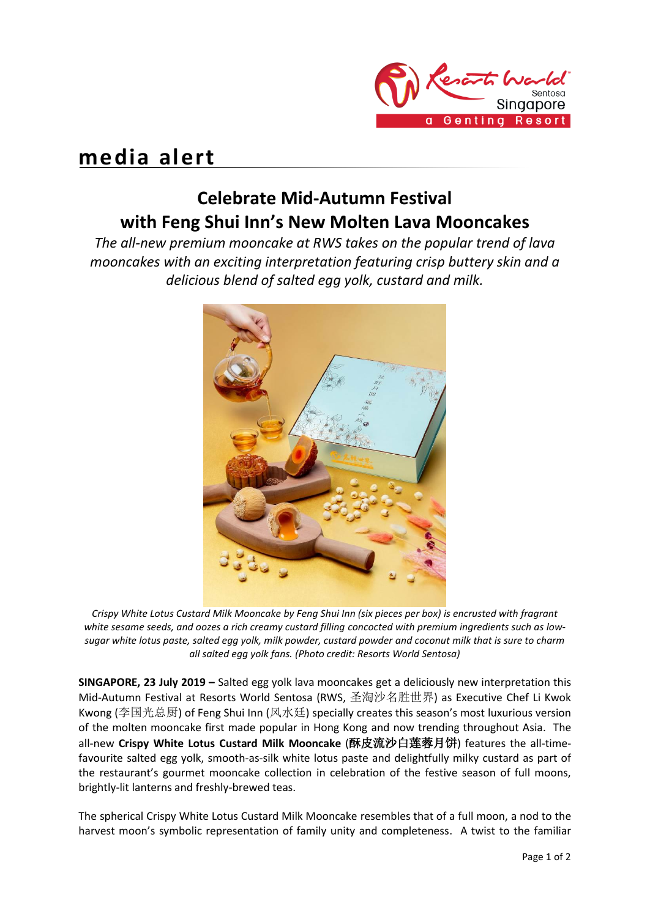

## **media alert**

## **Celebrate Mid-Autumn Festival with Feng Shui Inn's New Molten Lava Mooncakes**

*The all-new premium mooncake at RWS takes on the popular trend of lava mooncakes with an exciting interpretation featuring crisp buttery skin and a delicious blend of salted egg yolk, custard and milk.*



*Crispy White Lotus Custard Milk Mooncake by Feng Shui Inn (six pieces per box) is encrusted with fragrant*  white sesame seeds, and oozes a rich creamy custard filling concocted with premium ingredients such as low*sugar white lotus paste, salted egg yolk, milk powder, custard powder and coconut milk that is sure to charm all salted egg yolk fans. (Photo credit: Resorts World Sentosa)*

**SINGAPORE, 23 July 2019 –** Salted egg yolk lava mooncakes get a deliciously new interpretation this Mid-Autumn Festival at Resorts World Sentosa (RWS, 圣淘沙名胜世界) as Executive Chef Li Kwok Kwong (李国光总厨) of Feng Shui Inn (风水廷) specially creates this season's most luxurious version of the molten mooncake first made popular in Hong Kong and now trending throughout Asia. The all-new **Crispy White Lotus Custard Milk Mooncake** (酥皮流沙白莲蓉月饼) features the all-timefavourite salted egg yolk, smooth-as-silk white lotus paste and delightfully milky custard as part of the restaurant's gourmet mooncake collection in celebration of the festive season of full moons, brightly-lit lanterns and freshly-brewed teas.

The spherical Crispy White Lotus Custard Milk Mooncake resembles that of a full moon, a nod to the harvest moon's symbolic representation of family unity and completeness. A twist to the familiar